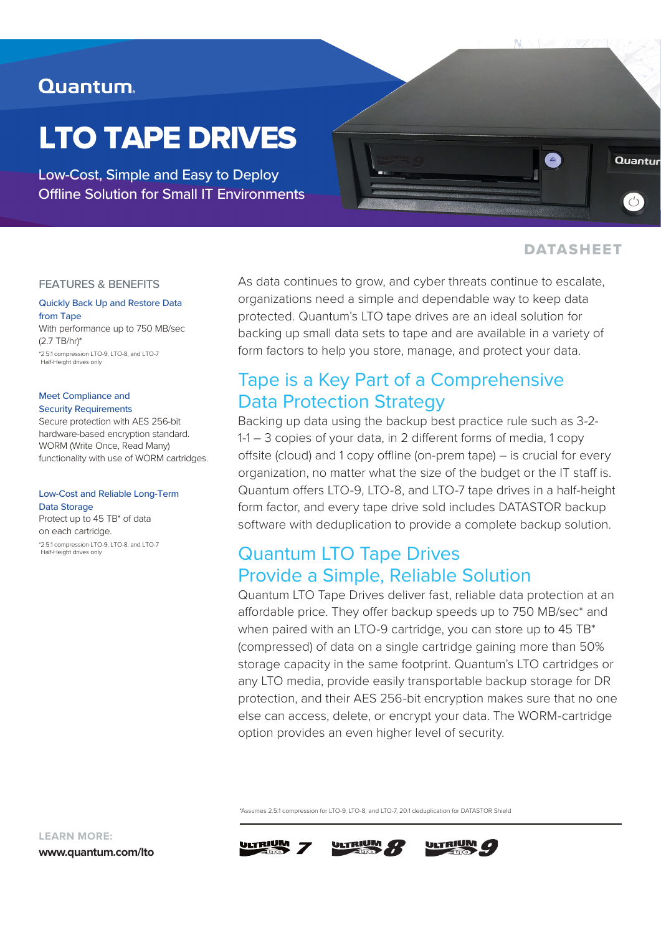## Quantum.

# LTO TAPE DRIVES

Low-Cost, Simple and Easy to Deploy Offline Solution for Small IT Environments



### DATASHEET

#### FEATURES & BENEFITS

Quickly Back Up and Restore Data from Tape With performance up to 750 MB/sec (2.7 TB/hr)\*

\*2.5:1 compression LTO-9, LTO-8, and LTO-7 Half-Height drives only

#### Meet Compliance and Security Requirements

Secure protection with AES 256-bit hardware-based encryption standard. WORM (Write Once, Read Many) functionality with use of WORM cartridges.

#### Low-Cost and Reliable Long-Term Data Storage

Protect up to 45 TB\* of data on each cartridge. \*2.5:1 compression LTO-9, LTO-8, and LTO-7 Half-Height drives only

As data continues to grow, and cyber threats continue to escalate, organizations need a simple and dependable way to keep data protected. Quantum's LTO tape drives are an ideal solution for backing up small data sets to tape and are available in a variety of form factors to help you store, manage, and protect your data.

## Tape is a Key Part of a Comprehensive Data Protection Strategy

Backing up data using the backup best practice rule such as 3-2- 1-1 – 3 copies of your data, in 2 diferent forms of media, 1 copy offsite (cloud) and 1 copy offline (on-prem tape) – is crucial for every organization, no matter what the size of the budget or the IT staff is. Quantum offers LTO-9, LTO-8, and LTO-7 tape drives in a half-height form factor, and every tape drive sold includes DATASTOR backup software with deduplication to provide a complete backup solution.

## Quantum LTO Tape Drives Provide a Simple, Reliable Solution

Quantum LTO Tape Drives deliver fast, reliable data protection at an affordable price. They offer backup speeds up to 750 MB/sec\* and when paired with an LTO-9 cartridge, you can store up to 45 TB\* (compressed) of data on a single cartridge gaining more than 50% storage capacity in the same footprint. Quantum's LTO cartridges or any LTO media, provide easily transportable backup storage for DR protection, and their AES 256-bit encryption makes sure that no one else can access, delete, or encrypt your data. The WORM-cartridge option provides an even higher level of security.

\*Assumes 2.5:1 compression for LTO-9, LTO-8, and LTO-7, 20:1 deduplication for DATASTOR Shield









**LEARN MORE:**

**www.quantum.com/lto**